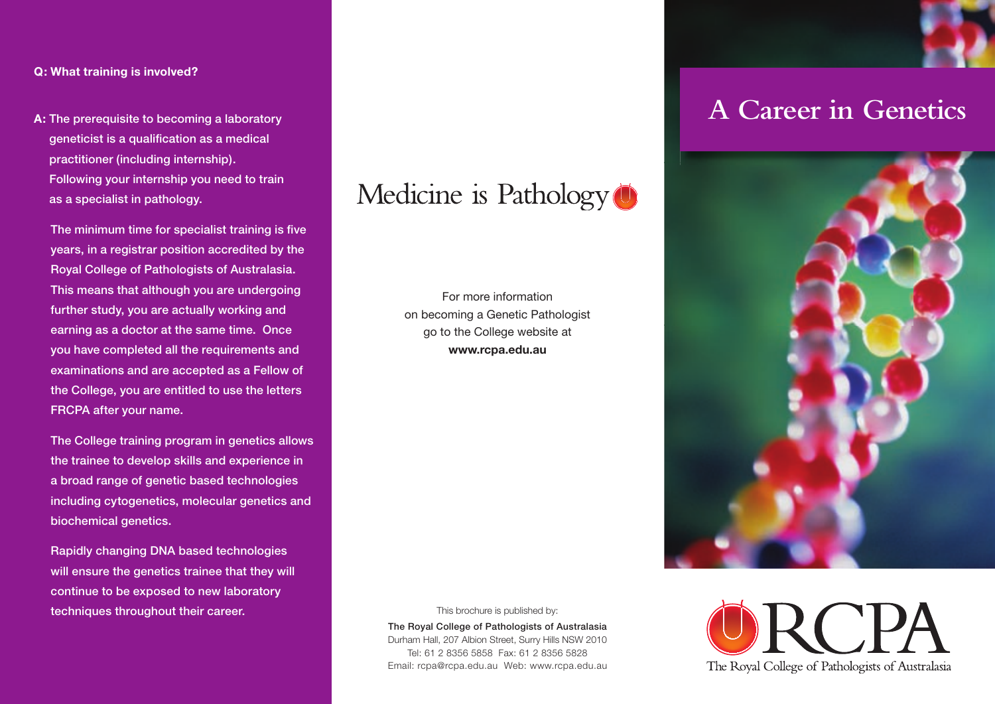#### **Q: What training is involved?**

**A:** The prerequisite to becoming a laboratory geneticist is a qualification as a medical practitioner (including internship). Following your internship you need to train as a specialist in pathology.

The minimum time for specialist training is five years, in a registrar position accredited by the Royal College of Pathologists of Australasia. This means that although you are undergoing further study, you are actually working and earning as a doctor at the same time. Once you have completed all the requirements and examinations and are accepted as a Fellow of the College, you are entitled to use the letters FRCPA after your name.

 The College training program in genetics allows the trainee to develop skills and experience in a broad range of genetic based technologies including cytogenetics, molecular genetics and biochemical genetics.

 Rapidly changing DNA based technologies will ensure the genetics trainee that they will continue to be exposed to new laboratory techniques throughout their career.



For more information on becoming a Genetic Pathologist go to the College website at **www.rcpa.edu.au**



This brochure is published by:

The Royal College of Pathologists of Australasia Durham Hall, 207 Albion Street, Surry Hills NSW 2010 Tel: 61 2 8356 5858 Fax: 61 2 8356 5828 Email: rcpa@rcpa.edu.au Web: www.rcpa.edu.au

## **A Career in Genetics**